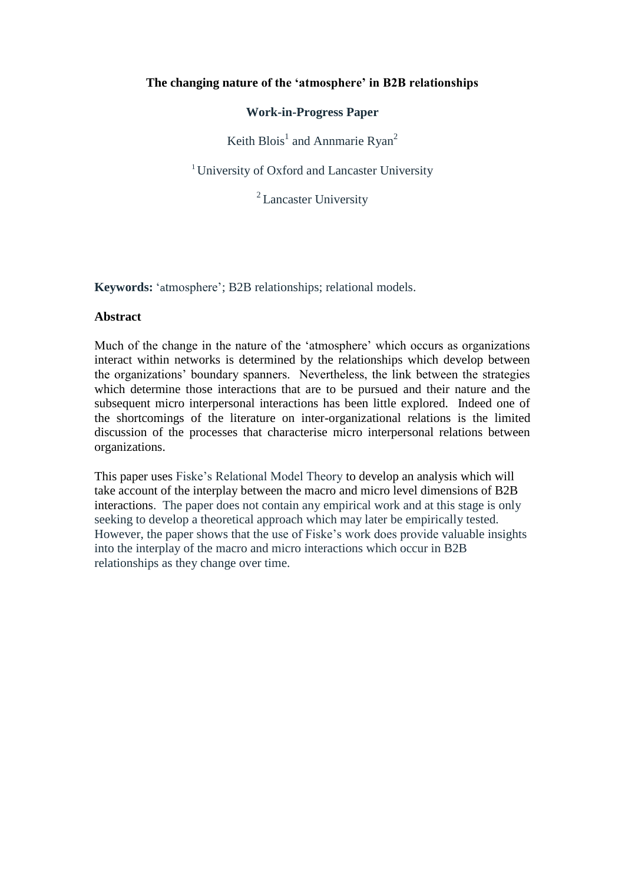# **The changing nature of the "atmosphere" in B2B relationships**

## **Work-in-Progress Paper**

Keith Blois<sup>1</sup> and Annmarie Ryan<sup>2</sup>

<sup>1</sup> University of Oxford and Lancaster University

<sup>2</sup> Lancaster University

**Keywords:** "atmosphere"; B2B relationships; relational models.

#### **Abstract**

Much of the change in the nature of the 'atmosphere' which occurs as organizations interact within networks is determined by the relationships which develop between the organizations" boundary spanners. Nevertheless, the link between the strategies which determine those interactions that are to be pursued and their nature and the subsequent micro interpersonal interactions has been little explored. Indeed one of the shortcomings of the literature on inter-organizational relations is the limited discussion of the processes that characterise micro interpersonal relations between organizations.

This paper uses Fiske"s Relational Model Theory to develop an analysis which will take account of the interplay between the macro and micro level dimensions of B2B interactions. The paper does not contain any empirical work and at this stage is only seeking to develop a theoretical approach which may later be empirically tested. However, the paper shows that the use of Fiske"s work does provide valuable insights into the interplay of the macro and micro interactions which occur in B2B relationships as they change over time.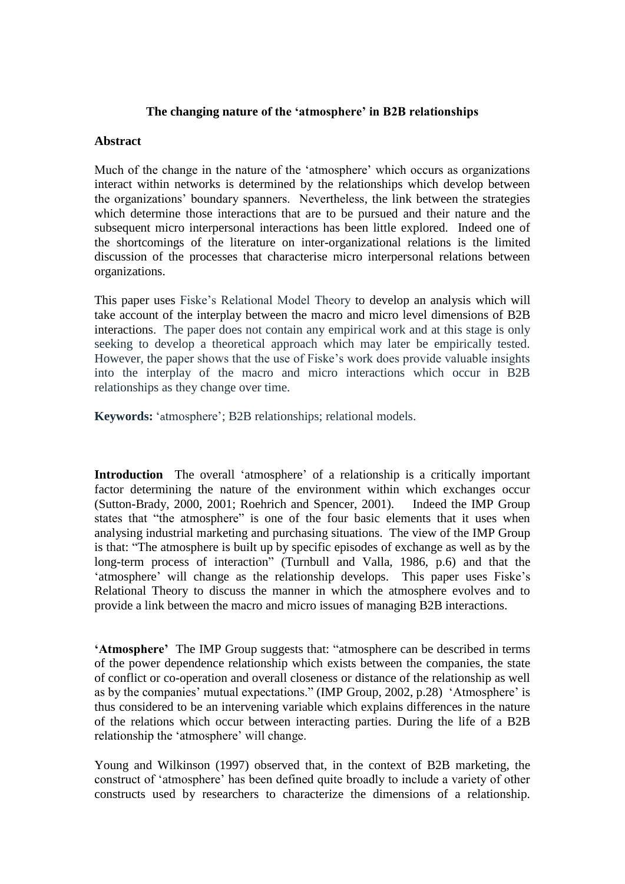### **The changing nature of the "atmosphere" in B2B relationships**

### **Abstract**

Much of the change in the nature of the 'atmosphere' which occurs as organizations interact within networks is determined by the relationships which develop between the organizations" boundary spanners. Nevertheless, the link between the strategies which determine those interactions that are to be pursued and their nature and the subsequent micro interpersonal interactions has been little explored. Indeed one of the shortcomings of the literature on inter-organizational relations is the limited discussion of the processes that characterise micro interpersonal relations between organizations.

This paper uses Fiske"s Relational Model Theory to develop an analysis which will take account of the interplay between the macro and micro level dimensions of B2B interactions. The paper does not contain any empirical work and at this stage is only seeking to develop a theoretical approach which may later be empirically tested. However, the paper shows that the use of Fiske"s work does provide valuable insights into the interplay of the macro and micro interactions which occur in B2B relationships as they change over time.

**Keywords:** "atmosphere"; B2B relationships; relational models.

**Introduction** The overall 'atmosphere' of a relationship is a critically important factor determining the nature of the environment within which exchanges occur (Sutton-Brady, 2000, 2001; Roehrich and Spencer, 2001). Indeed the IMP Group states that "the atmosphere" is one of the four basic elements that it uses when analysing industrial marketing and purchasing situations. The view of the IMP Group is that: "The atmosphere is built up by specific episodes of exchange as well as by the long-term process of interaction" (Turnbull and Valla, 1986, p.6) and that the 'atmosphere' will change as the relationship develops. This paper uses Fiske's Relational Theory to discuss the manner in which the atmosphere evolves and to provide a link between the macro and micro issues of managing B2B interactions.

**"Atmosphere"** The IMP Group suggests that: "atmosphere can be described in terms of the power dependence relationship which exists between the companies, the state of conflict or co-operation and overall closeness or distance of the relationship as well as by the companies' mutual expectations." (IMP Group, 2002, p.28) 'Atmosphere' is thus considered to be an intervening variable which explains differences in the nature of the relations which occur between interacting parties. During the life of a B2B relationship the 'atmosphere' will change.

Young and Wilkinson (1997) observed that, in the context of B2B marketing, the construct of "atmosphere" has been defined quite broadly to include a variety of other constructs used by researchers to characterize the dimensions of a relationship.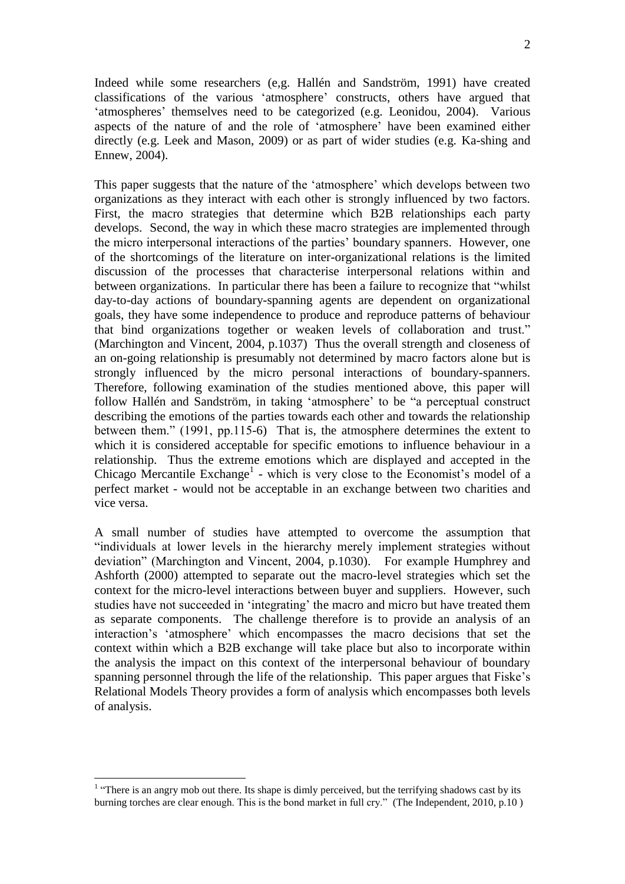Indeed while some researchers (e,g. [Hallén and Sandström, 1991\)](http://ezproxy.ouls.ox.ac.uk:2070/science?_ob=ArticleURL&_udi=B6V69-4C4X406-1&_user=126524&_coverDate=11%2F30%2F2004&_rdoc=1&_fmt=full&_orig=search&_cdi=5809&_sort=d&_docanchor=&view=c&_acct=C000010360&_version=1&_urlVersion=0&_userid=126524&md5=81afeeed20f94315b783c31db6f22ecb#bib26) have created classifications of the various "atmosphere" constructs, others have argued that 'atmospheres' themselves need to be categorized (e.g. Leonidou, 2004). Various aspects of the nature of and the role of "atmosphere" have been examined either directly (e.g. Leek and Mason, 2009) or as part of wider studies (e.g. [Ka-shing a](http://ezproxy.ouls.ox.ac.uk:2072/pqdweb?index=0&did=730093451&SrchMode=2&sid=1&Fmt=4&VInst=PROD&VType=PQD&CSD=503586&RQT=590&VName=PQD&TS=1262960910&clientId=15810)nd [Ennew,](http://ezproxy.ouls.ox.ac.uk:2072/pqdweb?index=0&did=730093451&SrchMode=2&sid=1&Fmt=4&VInst=PROD&VType=PQD&CSD=340390&RQT=590&VName=PQD&TS=1262960910&clientId=15810) 2004).

This paper suggests that the nature of the "atmosphere" which develops between two organizations as they interact with each other is strongly influenced by two factors. First, the macro strategies that determine which B2B relationships each party develops. Second, the way in which these macro strategies are implemented through the micro interpersonal interactions of the parties" boundary spanners. However, one of the shortcomings of the literature on inter-organizational relations is the limited discussion of the processes that characterise interpersonal relations within and between organizations. In particular there has been a failure to recognize that "whilst day-to-day actions of boundary-spanning agents are dependent on organizational goals, they have some independence to produce and reproduce patterns of behaviour that bind organizations together or weaken levels of collaboration and trust." (Marchington and Vincent, 2004, p.1037) Thus the overall strength and closeness of an on-going relationship is presumably not determined by macro factors alone but is strongly influenced by the micro personal interactions of boundary-spanners. Therefore, following examination of the studies mentioned above, this paper will follow Hallén and Sandström, in taking "atmosphere" to be "a perceptual construct describing the emotions of the parties towards each other and towards the relationship between them." (1991, pp.115-6) That is, the atmosphere determines the extent to which it is considered acceptable for specific emotions to influence behaviour in a relationship. Thus the extreme emotions which are displayed and accepted in the Chicago Mercantile Exchange<sup>1</sup> - which is very close to the Economist's model of a perfect market - would not be acceptable in an exchange between two charities and vice versa.

A small number of studies have attempted to overcome the assumption that "individuals at lower levels in the hierarchy merely implement strategies without deviation" (Marchington and Vincent, 2004, p.1030). For example Humphrey and Ashforth (2000) attempted to separate out the macro-level strategies which set the context for the micro-level interactions between buyer and suppliers. However, such studies have not succeeded in "integrating" the macro and micro but have treated them as separate components. The challenge therefore is to provide an analysis of an interaction"s "atmosphere" which encompasses the macro decisions that set the context within which a B2B exchange will take place but also to incorporate within the analysis the impact on this context of the interpersonal behaviour of boundary spanning personnel through the life of the relationship. This paper argues that Fiske"s Relational Models Theory provides a form of analysis which encompasses both levels of analysis.

<u>.</u>

 $<sup>1</sup>$  "There is an angry mob out there. Its shape is dimly perceived, but the terrifying shadows cast by its</sup> burning torches are clear enough. This is the bond market in full cry." (The Independent, 2010, p.10 )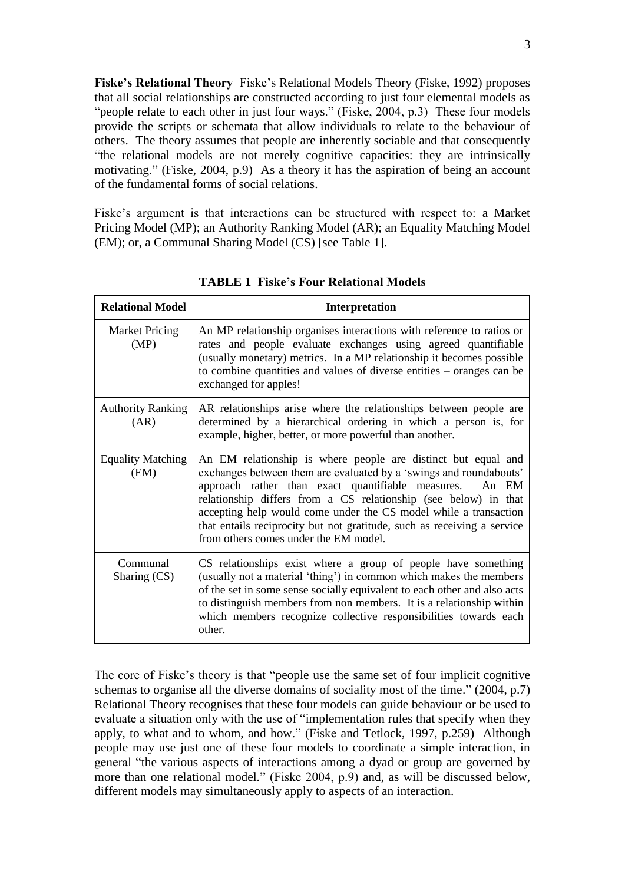**Fiske"s Relational Theory** Fiske"s Relational Models Theory (Fiske, 1992) proposes that all social relationships are constructed according to just four elemental models as "people relate to each other in just four ways." (Fiske, 2004, p.3) These four models provide the scripts or schemata that allow individuals to relate to the behaviour of others. The theory assumes that people are inherently sociable and that consequently "the relational models are not merely cognitive capacities: they are intrinsically motivating." (Fiske, 2004, p.9) As a theory it has the aspiration of being an account of the fundamental forms of social relations.

Fiske's argument is that interactions can be structured with respect to: a Market Pricing Model (MP); an Authority Ranking Model (AR); an Equality Matching Model (EM); or, a Communal Sharing Model (CS) [see Table 1].

| <b>Relational Model</b>          | Interpretation                                                                                                                                                                                                                                                                                                                                                                                                                                               |
|----------------------------------|--------------------------------------------------------------------------------------------------------------------------------------------------------------------------------------------------------------------------------------------------------------------------------------------------------------------------------------------------------------------------------------------------------------------------------------------------------------|
| <b>Market Pricing</b><br>(MP)    | An MP relationship organises interactions with reference to ratios or<br>rates and people evaluate exchanges using agreed quantifiable<br>(usually monetary) metrics. In a MP relationship it becomes possible<br>to combine quantities and values of diverse entities – oranges can be<br>exchanged for apples!                                                                                                                                             |
| <b>Authority Ranking</b><br>(AR) | AR relationships arise where the relationships between people are<br>determined by a hierarchical ordering in which a person is, for<br>example, higher, better, or more powerful than another.                                                                                                                                                                                                                                                              |
| <b>Equality Matching</b><br>(EM) | An EM relationship is where people are distinct but equal and<br>exchanges between them are evaluated by a 'swings and roundabouts'<br>approach rather than exact quantifiable measures.<br>An EM<br>relationship differs from a CS relationship (see below) in that<br>accepting help would come under the CS model while a transaction<br>that entails reciprocity but not gratitude, such as receiving a service<br>from others comes under the EM model. |
| Communal<br>Sharing $(CS)$       | CS relationships exist where a group of people have something<br>(usually not a material 'thing') in common which makes the members<br>of the set in some sense socially equivalent to each other and also acts<br>to distinguish members from non members. It is a relationship within<br>which members recognize collective responsibilities towards each<br>other.                                                                                        |

**TABLE 1 Fiske"s Four Relational Models**

The core of Fiske"s theory is that "people use the same set of four implicit cognitive schemas to organise all the diverse domains of sociality most of the time." (2004, p.7) Relational Theory recognises that these four models can guide behaviour or be used to evaluate a situation only with the use of "implementation rules that specify when they apply, to what and to whom, and how." (Fiske and Tetlock, 1997, p.259) Although people may use just one of these four models to coordinate a simple interaction, in general "the various aspects of interactions among a dyad or group are governed by more than one relational model*.*" (Fiske 2004, p.9) and, as will be discussed below, different models may simultaneously apply to aspects of an interaction.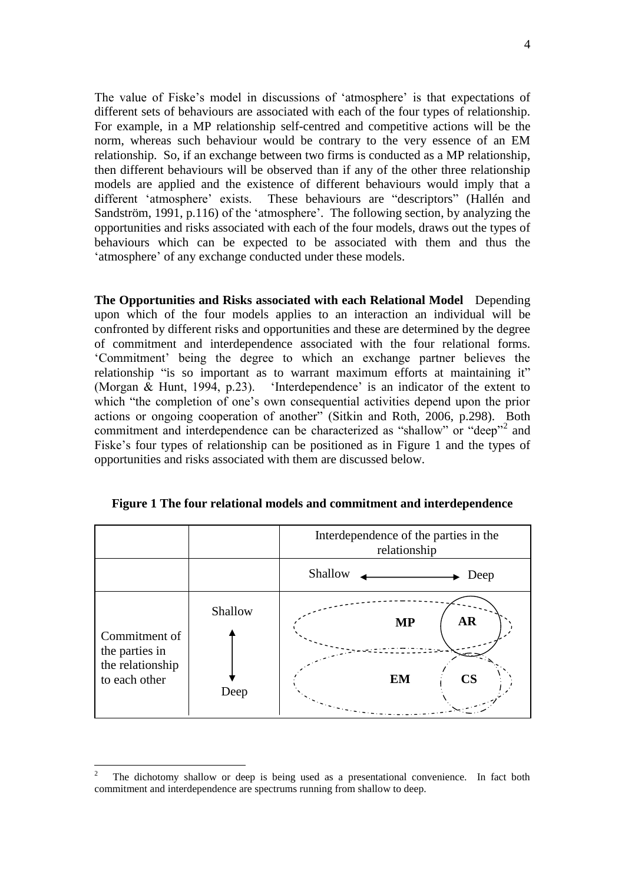The value of Fiske's model in discussions of 'atmosphere' is that expectations of different sets of behaviours are associated with each of the four types of relationship. For example, in a MP relationship self-centred and competitive actions will be the norm, whereas such behaviour would be contrary to the very essence of an EM relationship. So, if an exchange between two firms is conducted as a MP relationship, then different behaviours will be observed than if any of the other three relationship models are applied and the existence of different behaviours would imply that a different "atmosphere" exists. These behaviours are "descriptors" [\(Hallén and](http://ezproxy.ouls.ox.ac.uk:2070/science?_ob=ArticleURL&_udi=B6V69-4C4X406-1&_user=126524&_coverDate=11%2F30%2F2004&_rdoc=1&_fmt=full&_orig=search&_cdi=5809&_sort=d&_docanchor=&view=c&_acct=C000010360&_version=1&_urlVersion=0&_userid=126524&md5=81afeeed20f94315b783c31db6f22ecb#bib26)  [Sandström, 1991,](http://ezproxy.ouls.ox.ac.uk:2070/science?_ob=ArticleURL&_udi=B6V69-4C4X406-1&_user=126524&_coverDate=11%2F30%2F2004&_rdoc=1&_fmt=full&_orig=search&_cdi=5809&_sort=d&_docanchor=&view=c&_acct=C000010360&_version=1&_urlVersion=0&_userid=126524&md5=81afeeed20f94315b783c31db6f22ecb#bib26) p.116) of the 'atmosphere'. The following section, by analyzing the opportunities and risks associated with each of the four models, draws out the types of behaviours which can be expected to be associated with them and thus the "atmosphere" of any exchange conducted under these models.

**The Opportunities and Risks associated with each Relational Model** Depending upon which of the four models applies to an interaction an individual will be confronted by different risks and opportunities and these are determined by the degree of commitment and interdependence associated with the four relational forms. "Commitment" being the degree to which an exchange partner believes the relationship "is so important as to warrant maximum efforts at maintaining it" (Morgan & Hunt, 1994, p.23). "Interdependence" is an indicator of the extent to which "the completion of one's own consequential activities depend upon the prior actions or ongoing cooperation of another" (Sitkin and Roth, 2006, p.298). Both commitment and interdependence can be characterized as "shallow" or "deep"<sup>2</sup> and Fiske"s four types of relationship can be positioned as in Figure 1 and the types of opportunities and risks associated with them are discussed below.



**Figure 1 The four relational models and commitment and interdependence**

<sup>2</sup> The dichotomy shallow or deep is being used as a presentational convenience. In fact both commitment and interdependence are spectrums running from shallow to deep.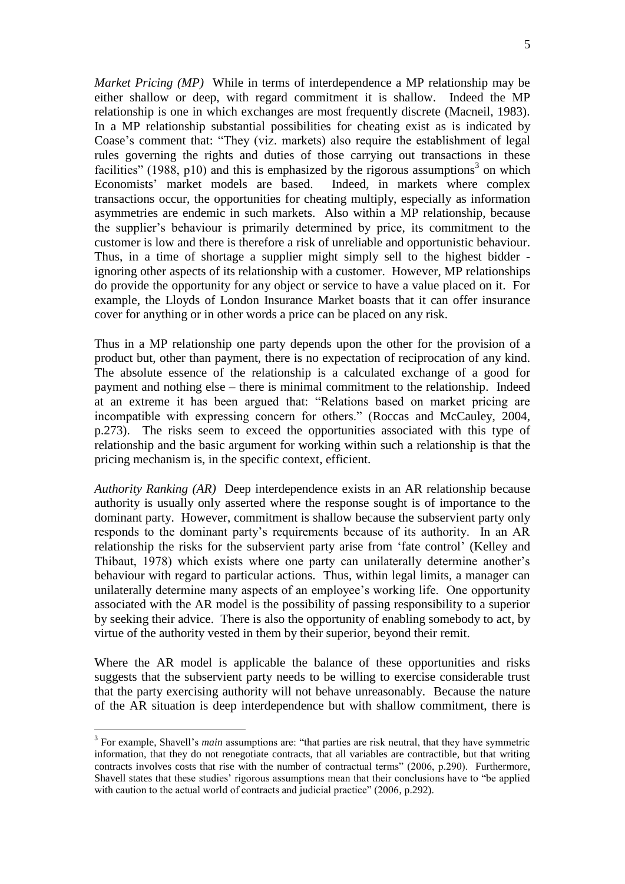*Market Pricing (MP)* While in terms of interdependence a MP relationship may be either shallow or deep, with regard commitment it is shallow. Indeed the MP relationship is one in which exchanges are most frequently discrete (Macneil, 1983). In a MP relationship substantial possibilities for cheating exist as is indicated by Coase"s comment that: "They (viz. markets) also require the establishment of legal rules governing the rights and duties of those carrying out transactions in these facilities" (1988, p10) and this is emphasized by the rigorous assumptions<sup>3</sup> on which Economists" market models are based. Indeed, in markets where complex transactions occur, the opportunities for cheating multiply, especially as information asymmetries are endemic in such markets. Also within a MP relationship, because the supplier"s behaviour is primarily determined by price, its commitment to the customer is low and there is therefore a risk of unreliable and opportunistic behaviour. Thus, in a time of shortage a supplier might simply sell to the highest bidder ignoring other aspects of its relationship with a customer. However, MP relationships do provide the opportunity for any object or service to have a value placed on it. For example, the Lloyds of London Insurance Market boasts that it can offer insurance cover for anything or in other words a price can be placed on any risk.

Thus in a MP relationship one party depends upon the other for the provision of a product but, other than payment, there is no expectation of reciprocation of any kind. The absolute essence of the relationship is a calculated exchange of a good for payment and nothing else – there is minimal commitment to the relationship. Indeed at an extreme it has been argued that: "Relations based on market pricing are incompatible with expressing concern for others." (Roccas and McCauley, 2004, p.273). The risks seem to exceed the opportunities associated with this type of relationship and the basic argument for working within such a relationship is that the pricing mechanism is, in the specific context, efficient.

*Authority Ranking (AR)* Deep interdependence exists in an AR relationship because authority is usually only asserted where the response sought is of importance to the dominant party. However, commitment is shallow because the subservient party only responds to the dominant party"s requirements because of its authority. In an AR relationship the risks for the subservient party arise from "fate control" (Kelley and Thibaut, 1978) which exists where one party can unilaterally determine another"s behaviour with regard to particular actions. Thus, within legal limits, a manager can unilaterally determine many aspects of an employee's working life. One opportunity associated with the AR model is the possibility of passing responsibility to a superior by seeking their advice. There is also the opportunity of enabling somebody to act, by virtue of the authority vested in them by their superior, beyond their remit.

Where the AR model is applicable the balance of these opportunities and risks suggests that the subservient party needs to be willing to exercise considerable trust that the party exercising authority will not behave unreasonably. Because the nature of the AR situation is deep interdependence but with shallow commitment, there is

<sup>&</sup>lt;sup>3</sup> For example, Shavell's *main* assumptions are: "that parties are risk neutral, that they have symmetric information, that they do not renegotiate contracts, that all variables are contractible, but that writing contracts involves costs that rise with the number of contractual terms" (2006, p.290). Furthermore, Shavell states that these studies" rigorous assumptions mean that their conclusions have to "be applied with caution to the actual world of contracts and judicial practice" (2006, p.292).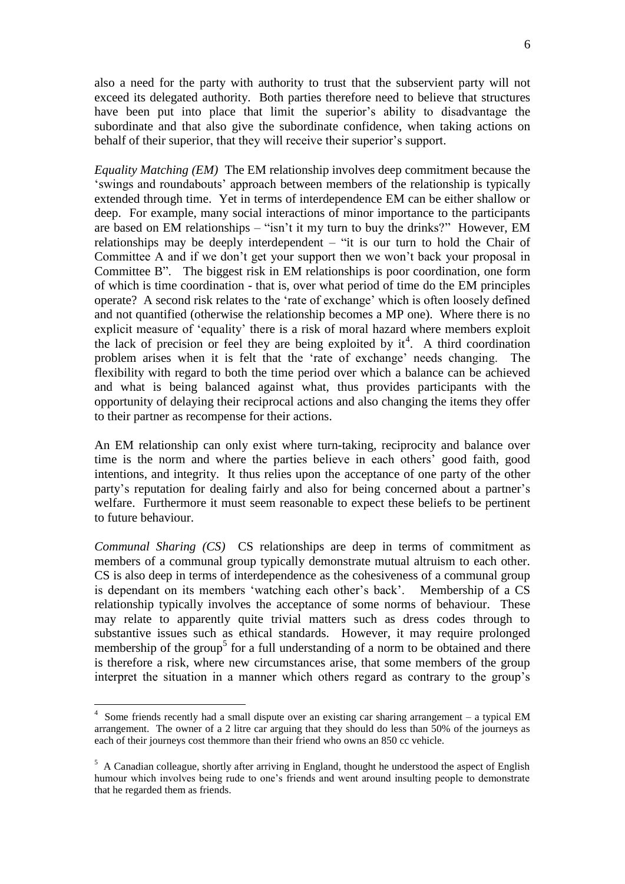6

also a need for the party with authority to trust that the subservient party will not exceed its delegated authority. Both parties therefore need to believe that structures have been put into place that limit the superior's ability to disadvantage the subordinate and that also give the subordinate confidence, when taking actions on behalf of their superior, that they will receive their superior's support.

*Equality Matching (EM)* The EM relationship involves deep commitment because the "swings and roundabouts" approach between members of the relationship is typically extended through time. Yet in terms of interdependence EM can be either shallow or deep. For example, many social interactions of minor importance to the participants are based on EM relationships – "isn"t it my turn to buy the drinks?" However, EM relationships may be deeply interdependent – "it is our turn to hold the Chair of Committee A and if we don't get your support then we won't back your proposal in Committee B". The biggest risk in EM relationships is poor coordination, one form of which is time coordination - that is, over what period of time do the EM principles operate? A second risk relates to the "rate of exchange" which is often loosely defined and not quantified (otherwise the relationship becomes a MP one). Where there is no explicit measure of "equality" there is a risk of moral hazard where members exploit the lack of precision or feel they are being exploited by  $it<sup>4</sup>$ . A third coordination problem arises when it is felt that the "rate of exchange" needs changing. The flexibility with regard to both the time period over which a balance can be achieved and what is being balanced against what, thus provides participants with the opportunity of delaying their reciprocal actions and also changing the items they offer to their partner as recompense for their actions.

An EM relationship can only exist where turn-taking, reciprocity and balance over time is the norm and where the parties believe in each others' good faith, good intentions, and integrity. It thus relies upon the acceptance of one party of the other party"s reputation for dealing fairly and also for being concerned about a partner"s welfare. Furthermore it must seem reasonable to expect these beliefs to be pertinent to future behaviour.

*Communal Sharing (CS)* CS relationships are deep in terms of commitment as members of a communal group typically demonstrate mutual altruism to each other. CS is also deep in terms of interdependence as the cohesiveness of a communal group is dependant on its members 'watching each other's back'. Membership of a CS relationship typically involves the acceptance of some norms of behaviour. These may relate to apparently quite trivial matters such as dress codes through to substantive issues such as ethical standards. However, it may require prolonged membership of the group<sup>5</sup> for a full understanding of a norm to be obtained and there is therefore a risk, where new circumstances arise, that some members of the group interpret the situation in a manner which others regard as contrary to the group"s

<u>.</u>

<sup>&</sup>lt;sup>4</sup> Some friends recently had a small dispute over an existing car sharing arrangement – a typical EM arrangement. The owner of a 2 litre car arguing that they should do less than 50% of the journeys as each of their journeys cost themmore than their friend who owns an 850 cc vehicle.

 $5$  A Canadian colleague, shortly after arriving in England, thought he understood the aspect of English humour which involves being rude to one"s friends and went around insulting people to demonstrate that he regarded them as friends.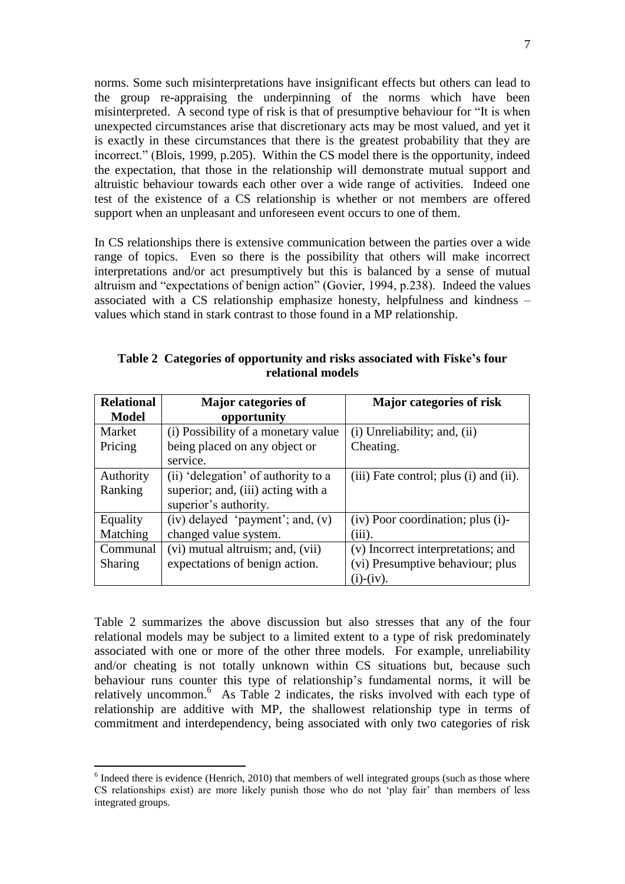norms. Some such misinterpretations have insignificant effects but others can lead to the group re-appraising the underpinning of the norms which have been misinterpreted. A second type of risk is that of presumptive behaviour for "It is when unexpected circumstances arise that discretionary acts may be most valued, and yet it is exactly in these circumstances that there is the greatest probability that they are incorrect." (Blois, 1999, p.205). Within the CS model there is the opportunity, indeed the expectation, that those in the relationship will demonstrate mutual support and altruistic behaviour towards each other over a wide range of activities. Indeed one test of the existence of a CS relationship is whether or not members are offered support when an unpleasant and unforeseen event occurs to one of them.

In CS relationships there is extensive communication between the parties over a wide range of topics. Even so there is the possibility that others will make incorrect interpretations and/or act presumptively but this is balanced by a sense of mutual altruism and "expectations of benign action" (Govier, 1994, p.238). Indeed the values associated with a CS relationship emphasize honesty, helpfulness and kindness – values which stand in stark contrast to those found in a MP relationship.

| <b>Relational</b> | <b>Major</b> categories of           | Major categories of risk               |
|-------------------|--------------------------------------|----------------------------------------|
| <b>Model</b>      | opportunity                          |                                        |
| Market            | (i) Possibility of a monetary value  | $(i)$ Unreliability; and, $(ii)$       |
| Pricing           | being placed on any object or        | Cheating.                              |
|                   | service.                             |                                        |
| Authority         | (ii) 'delegation' of authority to a  | (iii) Fate control; plus (i) and (ii). |
| Ranking           | superior; and, (iii) acting with a   |                                        |
|                   | superior's authority.                |                                        |
| Equality          | $(iv)$ delayed 'payment'; and, $(v)$ | (iv) Poor coordination; plus (i)-      |
| Matching          | changed value system.                | $(iii)$ .                              |
| Communal          | (vi) mutual altruism; and, (vii)     | (v) Incorrect interpretations; and     |
| <b>Sharing</b>    | expectations of benign action.       | (vi) Presumptive behaviour; plus       |
|                   |                                      | $(i)-(iv).$                            |

**Table 2 Categories of opportunity and risks associated with Fiske"s four relational models**

Table 2 summarizes the above discussion but also stresses that any of the four relational models may be subject to a limited extent to a type of risk predominately associated with one or more of the other three models. For example, unreliability and/or cheating is not totally unknown within CS situations but, because such behaviour runs counter this type of relationship"s fundamental norms, it will be relatively uncommon.<sup>6</sup> As Table 2 indicates, the risks involved with each type of relationship are additive with MP, the shallowest relationship type in terms of commitment and interdependency, being associated with only two categories of risk

 $<sup>6</sup>$  Indeed there is evidence (Henrich, 2010) that members of well integrated groups (such as those where</sup> CS relationships exist) are more likely punish those who do not "play fair" than members of less integrated groups.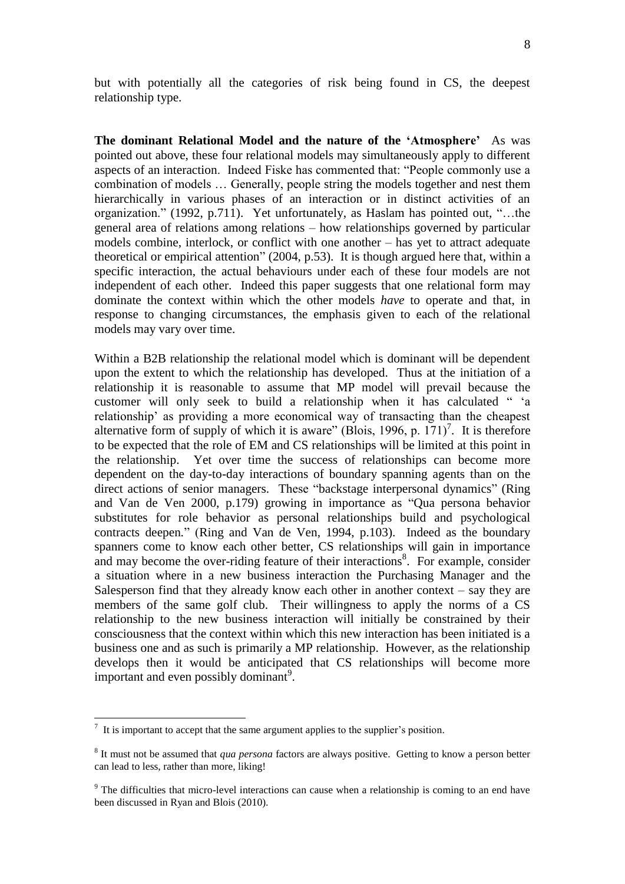but with potentially all the categories of risk being found in CS, the deepest relationship type.

**The dominant Relational Model and the nature of the "Atmosphere"** As was pointed out above, these four relational models may simultaneously apply to different aspects of an interaction. Indeed Fiske has commented that: "People commonly use a combination of models … Generally, people string the models together and nest them hierarchically in various phases of an interaction or in distinct activities of an organization." (1992, p.711). Yet unfortunately, as Haslam has pointed out, "…the general area of relations among relations – how relationships governed by particular models combine, interlock, or conflict with one another – has yet to attract adequate theoretical or empirical attention" (2004, p.53). It is though argued here that, within a specific interaction, the actual behaviours under each of these four models are not independent of each other. Indeed this paper suggests that one relational form may dominate the context within which the other models *have* to operate and that, in response to changing circumstances, the emphasis given to each of the relational models may vary over time.

Within a B2B relationship the relational model which is dominant will be dependent upon the extent to which the relationship has developed. Thus at the initiation of a relationship it is reasonable to assume that MP model will prevail because the customer will only seek to build a relationship when it has calculated " "a relationship" as providing a more economical way of transacting than the cheapest alternative form of supply of which it is aware" (Blois, 1996, p.  $171$ )<sup>7</sup>. It is therefore to be expected that the role of EM and CS relationships will be limited at this point in the relationship. Yet over time the success of relationships can become more dependent on the day-to-day interactions of boundary spanning agents than on the direct actions of senior managers. These "backstage interpersonal dynamics" (Ring and Van de Ven 2000, p.179) growing in importance as "Qua persona behavior substitutes for role behavior as personal relationships build and psychological contracts deepen*.*" (Ring and Van de Ven, 1994, p.103). Indeed as the boundary spanners come to know each other better, CS relationships will gain in importance and may become the over-riding feature of their interactions<sup>8</sup>. For example, consider a situation where in a new business interaction the Purchasing Manager and the Salesperson find that they already know each other in another context – say they are members of the same golf club. Their willingness to apply the norms of a CS relationship to the new business interaction will initially be constrained by their consciousness that the context within which this new interaction has been initiated is a business one and as such is primarily a MP relationship. However, as the relationship develops then it would be anticipated that CS relationships will become more important and even possibly dominant<sup>9</sup>.

 $<sup>7</sup>$  It is important to accept that the same argument applies to the supplier's position.</sup>

<sup>8</sup> It must not be assumed that *qua persona* factors are always positive. Getting to know a person better can lead to less, rather than more, liking!

<sup>&</sup>lt;sup>9</sup> The difficulties that micro-level interactions can cause when a relationship is coming to an end have been discussed in Ryan and Blois (2010).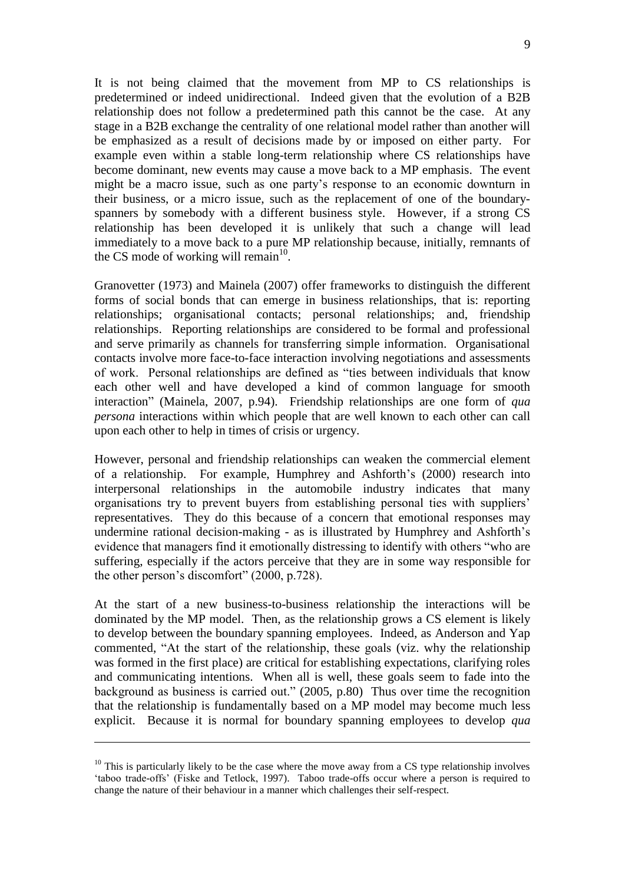It is not being claimed that the movement from MP to CS relationships is predetermined or indeed unidirectional. Indeed given that the evolution of a B2B relationship does not follow a predetermined path this cannot be the case. At any stage in a B2B exchange the centrality of one relational model rather than another will be emphasized as a result of decisions made by or imposed on either party. For example even within a stable long-term relationship where CS relationships have become dominant, new events may cause a move back to a MP emphasis. The event might be a macro issue, such as one party"s response to an economic downturn in their business, or a micro issue, such as the replacement of one of the boundaryspanners by somebody with a different business style. However, if a strong CS relationship has been developed it is unlikely that such a change will lead immediately to a move back to a pure MP relationship because, initially, remnants of the CS mode of working will remain $^{10}$ .

Granovetter (1973) and Mainela (2007) offer frameworks to distinguish the different forms of social bonds that can emerge in business relationships, that is: reporting relationships; organisational contacts; personal relationships; and, friendship relationships. Reporting relationships are considered to be formal and professional and serve primarily as channels for transferring simple information. Organisational contacts involve more face-to-face interaction involving negotiations and assessments of work. Personal relationships are defined as "ties between individuals that know each other well and have developed a kind of common language for smooth interaction" (Mainela, 2007, p.94). Friendship relationships are one form of *qua persona* interactions within which people that are well known to each other can call upon each other to help in times of crisis or urgency.

However, personal and friendship relationships can weaken the commercial element of a relationship. For example, Humphrey and Ashforth"s (2000) research into interpersonal relationships in the automobile industry indicates that many organisations try to prevent buyers from establishing personal ties with suppliers" representatives. They do this because of a concern that emotional responses may undermine rational decision-making - as is illustrated by Humphrey and Ashforth"s evidence that managers find it emotionally distressing to identify with others "who are suffering, especially if the actors perceive that they are in some way responsible for the other person"s discomfort" (2000, p.728).

At the start of a new business-to-business relationship the interactions will be dominated by the MP model. Then, as the relationship grows a CS element is likely to develop between the boundary spanning employees. Indeed, as Anderson and Yap commented, "At the start of the relationship, these goals (viz. why the relationship was formed in the first place) are critical for establishing expectations, clarifying roles and communicating intentions. When all is well, these goals seem to fade into the background as business is carried out." (2005, p.80) Thus over time the recognition that the relationship is fundamentally based on a MP model may become much less explicit. Because it is normal for boundary spanning employees to develop *qua* 

<u>.</u>

 $10$  This is particularly likely to be the case where the move away from a CS type relationship involves 'taboo trade-offs' (Fiske and Tetlock, 1997). Taboo trade-offs occur where a person is required to change the nature of their behaviour in a manner which challenges their self-respect.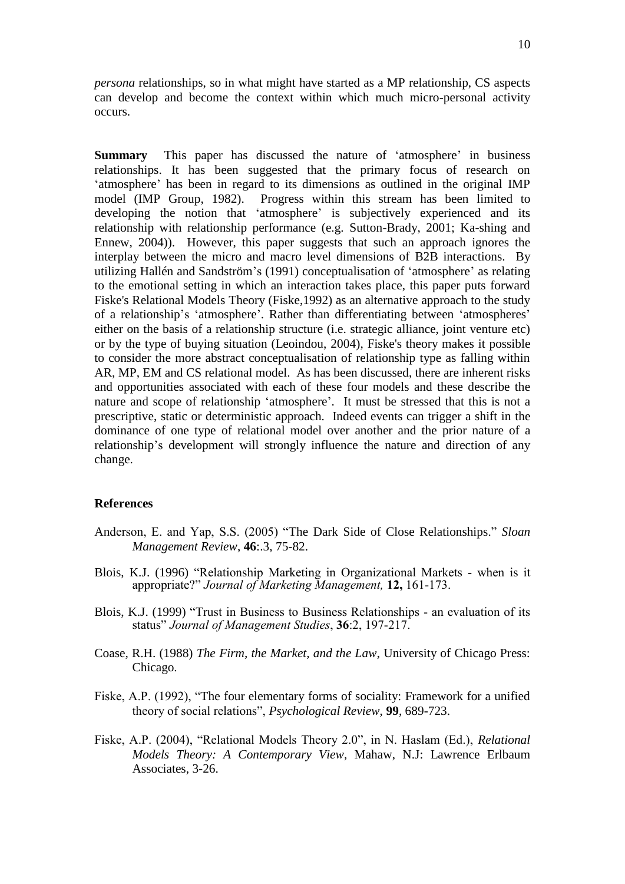*persona* relationships, so in what might have started as a MP relationship, CS aspects can develop and become the context within which much micro-personal activity occurs.

**Summary** This paper has discussed the nature of 'atmosphere' in business relationships. It has been suggested that the primary focus of research on "atmosphere" has been in regard to its dimensions as outlined in the original IMP model (IMP Group, 1982). Progress within this stream has been limited to developing the notion that 'atmosphere' is subjectively experienced and its relationship with relationship performance (e.g. Sutton-Brady, 2001; Ka-shing and Ennew, 2004)). However, this paper suggests that such an approach ignores the interplay between the micro and macro level dimensions of B2B interactions. By utilizing [Hallén](http://ezproxy.ouls.ox.ac.uk:2070/science?_ob=ArticleURL&_udi=B6V69-4C4X406-1&_user=126524&_coverDate=11%2F30%2F2004&_rdoc=1&_fmt=&_orig=search&_sort=d&_docanchor=&view=c&_acct=C000010360&_version=1&_urlVersion=0&_userid=126524&md5=be533a7d9780899f63c8ffa9a3980fff#bbib26#bbib26) and Sandström"s (1991) conceptualisation of "atmosphere" as relating to the emotional setting in which an interaction takes place, this paper puts forward Fiske's Relational Models Theory (Fiske,1992) as an alternative approach to the study of a relationship"s "atmosphere". Rather than differentiating between "atmospheres" either on the basis of a relationship structure (i.e. strategic alliance, joint venture etc) or by the type of buying situation (Leoindou, 2004), Fiske's theory makes it possible to consider the more abstract conceptualisation of relationship type as falling within AR, MP, EM and CS relational model. As has been discussed, there are inherent risks and opportunities associated with each of these four models and these describe the nature and scope of relationship "atmosphere". It must be stressed that this is not a prescriptive, static or deterministic approach. Indeed events can trigger a shift in the dominance of one type of relational model over another and the prior nature of a relationship"s development will strongly influence the nature and direction of any change.

#### **References**

- Anderson, E. and Yap, S.S. (2005) "The Dark Side of Close Relationships." *Sloan Management Review*, **46**:.3, 75-82.
- Blois, K.J. (1996) "Relationship Marketing in Organizational Markets when is it appropriate?" *Journal of Marketing Management,* **12,** 161-173.
- Blois, K.J. (1999) "Trust in Business to Business Relationships an evaluation of its status" *Journal of Management Studies*, **36**:2, 197-217.
- Coase, R.H. (1988) *The Firm, the Market, and the Law*, University of Chicago Press: Chicago.
- Fiske, A.P. (1992), "The four elementary forms of sociality: Framework for a unified theory of social relations", *Psychological Review*, **99**, 689-723.
- Fiske, A.P. (2004), "Relational Models Theory 2.0", in N. Haslam (Ed.), *Relational Models Theory: A Contemporary View,* Mahaw, N.J: Lawrence Erlbaum Associates, 3-26.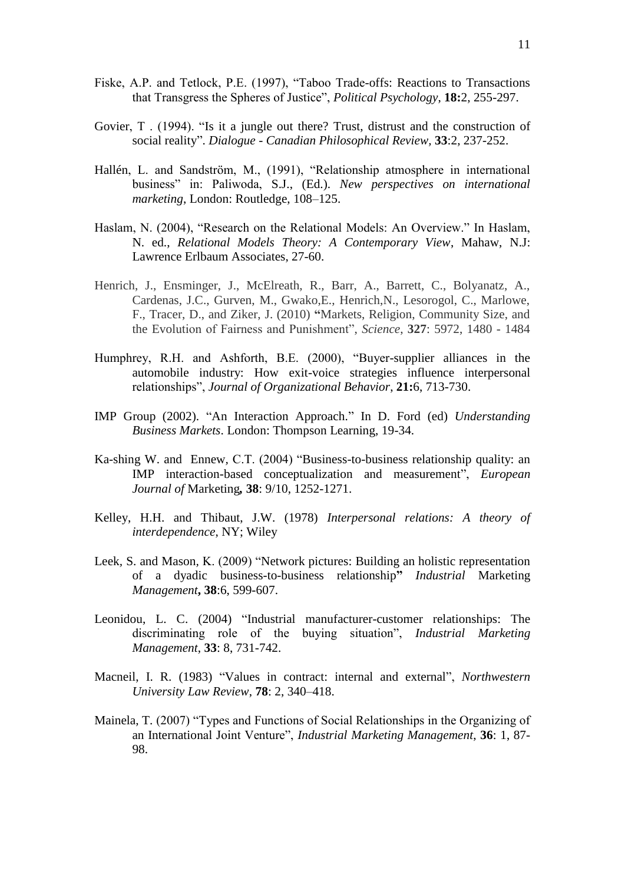- Fiske, A.P. and Tetlock, P.E. (1997), "Taboo Trade-offs: Reactions to Transactions that Transgress the Spheres of Justice", *Political Psychology*, **18:**2, 255-297.
- Govier, T . (1994). "Is it a jungle out there? Trust, distrust and the construction of social reality". *Dialogue - Canadian Philosophical Review,* **33**:2, 237-252.
- [Hallén,](http://ezproxy.ouls.ox.ac.uk:2070/science?_ob=ArticleURL&_udi=B6V69-4C4X406-1&_user=126524&_coverDate=11%2F30%2F2004&_rdoc=1&_fmt=&_orig=search&_sort=d&_docanchor=&view=c&_acct=C000010360&_version=1&_urlVersion=0&_userid=126524&md5=be533a7d9780899f63c8ffa9a3980fff#bbib26#bbib26) L. and Sandström, M., (1991), "Relationship atmosphere in international business" in: Paliwoda, S.J., (Ed.). *New perspectives on international marketing*, London: Routledge, 108–125.
- Haslam, N. (2004), "Research on the Relational Models: An Overview." In Haslam, N. ed., *Relational Models Theory: A Contemporary View*, Mahaw, N.J: Lawrence Erlbaum Associates, 27-60.
- Henrich, J., Ensminger, J., McElreath, R., Barr, A., Barrett, C., Bolyanatz, A., Cardenas, J.C., Gurven, M., Gwako,E., Henrich,N., Lesorogol, C., Marlowe, F., Tracer, D., and Ziker, J. (2010) **"**Markets, Religion, Community Size, and the Evolution of Fairness and Punishment", *Science*, **327**: 5972, 1480 - 1484
- Humphrey, R.H. and Ashforth, B.E. (2000), "Buyer-supplier alliances in the automobile industry: How exit-voice strategies influence interpersonal relationships", *Journal of Organizational Behavior*, **21:**6, 713-730.
- IMP Group (2002). "An Interaction Approach." In D. Ford (ed) *Understanding Business Markets*. London: Thompson Learning, 19-34.
- [Ka-shing W.](http://ezproxy.ouls.ox.ac.uk:2072/pqdweb?index=0&did=730093451&SrchMode=2&sid=1&Fmt=4&VInst=PROD&VType=PQD&CSD=503586&RQT=590&VName=PQD&TS=1262960910&clientId=15810) and [Ennew](http://ezproxy.ouls.ox.ac.uk:2072/pqdweb?index=0&did=730093451&SrchMode=2&sid=1&Fmt=4&VInst=PROD&VType=PQD&CSD=340390&RQT=590&VName=PQD&TS=1262960910&clientId=15810)*,* C.T. (2004) "Business-to-business relationship quality: an IMP interaction-based conceptualization and measurement", *[European](http://ezproxy.ouls.ox.ac.uk:2072/pqdweb?RQT=318&pmid=14913&TS=1262960910&clientId=15810&VInst=PROD&VName=PQD&VType=PQD)  [Journal of](http://ezproxy.ouls.ox.ac.uk:2072/pqdweb?RQT=318&pmid=14913&TS=1262960910&clientId=15810&VInst=PROD&VName=PQD&VType=PQD)* Marketing*,* **38**: 9/10, 1252-1271.
- Kelley, H.H. and Thibaut, J.W. (1978) *Interpersonal relations: A theory of interdependence*, NY; Wiley
- [Leek](javascript:void(0);)*,* S. and [Mason](javascript:void(0);)*,* K. (2009) "Network pictures: Building an holistic representation of a dyadic business*-*to-business relationship**"** *[Industrial](http://ezproxy.ouls.ox.ac.uk:2072/pqdweb?RQT=318&pmid=9172&TS=1262963825&clientId=15810&VInst=PROD&VName=PQD&VType=PQD)* Marketing *[Management](http://ezproxy.ouls.ox.ac.uk:2072/pqdweb?RQT=318&pmid=9172&TS=1262963825&clientId=15810&VInst=PROD&VName=PQD&VType=PQD)***, 38**:6, 599-607.
- [Leonidou, L. C.](http://ezproxy.ouls.ox.ac.uk:2072/pqdweb?index=32&did=736908191&CSP=496942&SrchMode=1&sid=2&Fmt=2&VInst=PROD&VType=PQD&RQT=590&VName=PQD&TS=1261151738&clientId=15810) (2004) "Industrial manufacturer-customer relationships: The discriminating role of the buying situation", *[Industrial Marketing](http://ezproxy.ouls.ox.ac.uk:2072/pqdweb?RQT=318&pmid=9172&TS=1261151738&clientId=15810&VInst=PROD&VName=PQD&VType=PQD) [Management](http://ezproxy.ouls.ox.ac.uk:2072/pqdweb?RQT=318&pmid=9172&TS=1261151738&clientId=15810&VInst=PROD&VName=PQD&VType=PQD)*, **33**: 8, 731-742.
- Macneil, I. R. (1983) "Values in contract: internal and external", *Northwestern University Law Review*, **78**: 2, 340–418.
- Mainela, T. (2007) "Types and Functions of Social Relationships in the Organizing of an International Joint Venture", *Industrial Marketing Management*, **36**: 1, 87- 98.